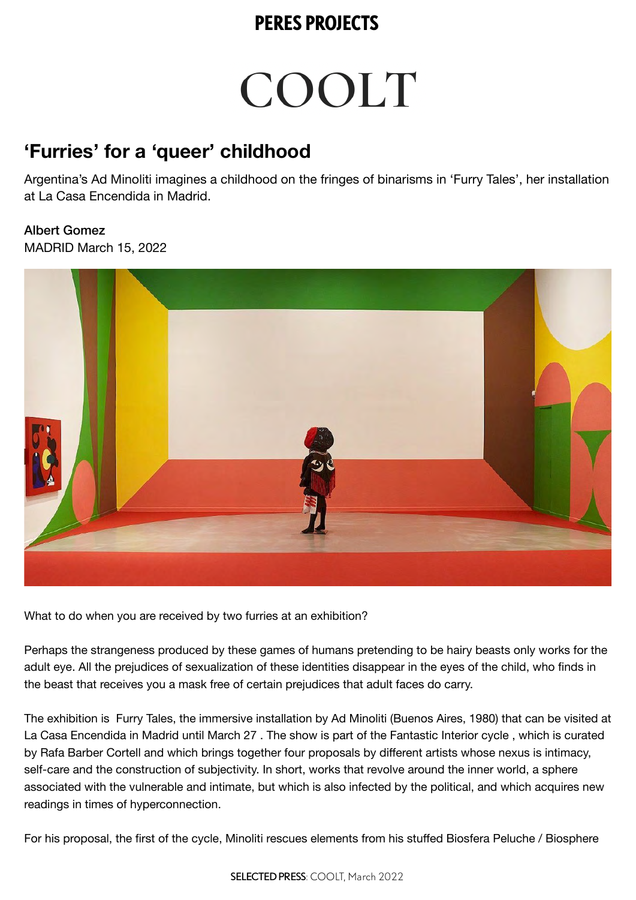# COOLT

#### **'Furries' for a 'queer' childhood**

Argentina's Ad Minoliti imagines a childhood on the fringes of binarisms in 'Furry Tales', her installation at La Casa Encendida in Madrid.

Albert Gomez MADRID March 15, 2022



What to do when you are received by two furries at an exhibition?

Perhaps the strangeness produced by these games of humans pretending to be hairy beasts only works for the adult eye. All the prejudices of sexualization of these identities disappear in the eyes of the child, who finds in the beast that receives you a mask free of certain prejudices that adult faces do carry.

The exhibition is Furry Tales, the immersive installation by Ad Minoliti (Buenos Aires, 1980) that can be visited at La Casa Encendida in Madrid until March 27 . The show is part of the Fantastic Interior cycle , which is curated by Rafa Barber Cortell and which brings together four proposals by different artists whose nexus is intimacy, self-care and the construction of subjectivity. In short, works that revolve around the inner world, a sphere associated with the vulnerable and intimate, but which is also infected by the political, and which acquires new readings in times of hyperconnection.

For his proposal, the first of the cycle, Minoliti rescues elements from his stuffed Biosfera Peluche / Biosphere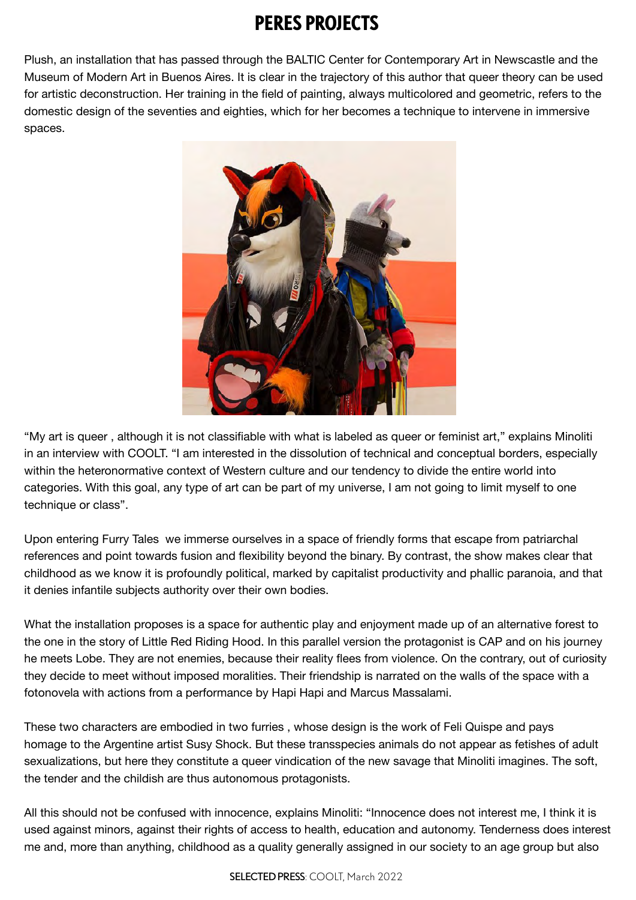Plush, an installation that has passed through the BALTIC Center for Contemporary Art in Newscastle and the Museum of Modern Art in Buenos Aires. It is clear in the trajectory of this author that queer theory can be used for artistic deconstruction. Her training in the field of painting, always multicolored and geometric, refers to the domestic design of the seventies and eighties, which for her becomes a technique to intervene in immersive spaces.



"My art is queer , although it is not classifiable with what is labeled as queer or feminist art," explains Minoliti in an interview with COOLT. "I am interested in the dissolution of technical and conceptual borders, especially within the heteronormative context of Western culture and our tendency to divide the entire world into categories. With this goal, any type of art can be part of my universe, I am not going to limit myself to one technique or class".

Upon entering Furry Tales we immerse ourselves in a space of friendly forms that escape from patriarchal references and point towards fusion and flexibility beyond the binary. By contrast, the show makes clear that childhood as we know it is profoundly political, marked by capitalist productivity and phallic paranoia, and that it denies infantile subjects authority over their own bodies.

What the installation proposes is a space for authentic play and enjoyment made up of an alternative forest to the one in the story of Little Red Riding Hood. In this parallel version the protagonist is CAP and on his journey he meets Lobe. They are not enemies, because their reality flees from violence. On the contrary, out of curiosity they decide to meet without imposed moralities. Their friendship is narrated on the walls of the space with a fotonovela with actions from a performance by Hapi Hapi and Marcus Massalami.

These two characters are embodied in two furries , whose design is the work of Feli Quispe and pays homage to the Argentine artist Susy Shock. But these transspecies animals do not appear as fetishes of adult sexualizations, but here they constitute a queer vindication of the new savage that Minoliti imagines. The soft, the tender and the childish are thus autonomous protagonists.

All this should not be confused with innocence, explains Minoliti: "Innocence does not interest me, I think it is used against minors, against their rights of access to health, education and autonomy. Tenderness does interest me and, more than anything, childhood as a quality generally assigned in our society to an age group but also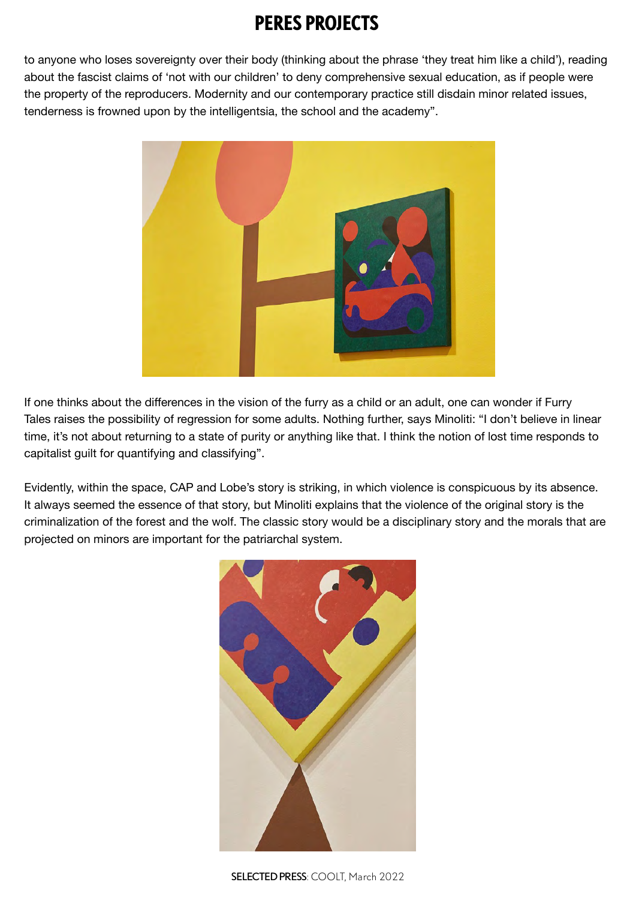to anyone who loses sovereignty over their body (thinking about the phrase 'they treat him like a child'), reading about the fascist claims of 'not with our children' to deny comprehensive sexual education, as if people were the property of the reproducers. Modernity and our contemporary practice still disdain minor related issues, tenderness is frowned upon by the intelligentsia, the school and the academy".



If one thinks about the differences in the vision of the furry as a child or an adult, one can wonder if Furry Tales raises the possibility of regression for some adults. Nothing further, says Minoliti: "I don't believe in linear time, it's not about returning to a state of purity or anything like that. I think the notion of lost time responds to capitalist guilt for quantifying and classifying".

Evidently, within the space, CAP and Lobe's story is striking, in which violence is conspicuous by its absence. It always seemed the essence of that story, but Minoliti explains that the violence of the original story is the criminalization of the forest and the wolf. The classic story would be a disciplinary story and the morals that are projected on minors are important for the patriarchal system.